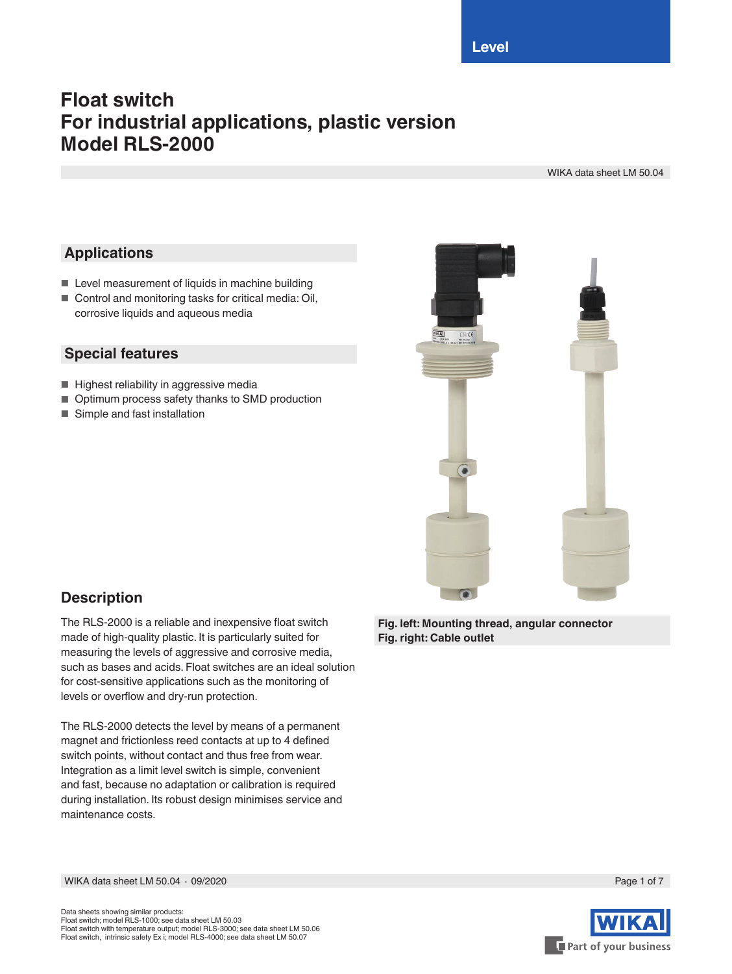# **Float switch For industrial applications, plastic version Model RLS-2000**

WIKA data sheet LM 50.04

### **Applications**

- Level measurement of liquids in machine building
- Control and monitoring tasks for critical media: Oil, corrosive liquids and aqueous media

### **Special features**

- Highest reliability in aggressive media
- Optimum process safety thanks to SMD production
- Simple and fast installation



### **Description**

The RLS-2000 is a reliable and inexpensive float switch made of high-quality plastic. It is particularly suited for measuring the levels of aggressive and corrosive media, such as bases and acids. Float switches are an ideal solution for cost-sensitive applications such as the monitoring of levels or overflow and dry-run protection.

The RLS-2000 detects the level by means of a permanent magnet and frictionless reed contacts at up to 4 defined switch points, without contact and thus free from wear. Integration as a limit level switch is simple, convenient and fast, because no adaptation or calibration is required during installation. Its robust design minimises service and maintenance costs.

**Fig. left: Mounting thread, angular connector Fig. right: Cable outlet**

WIKA data sheet LM 50.04 ⋅ 09/2020 Page 1 of 7



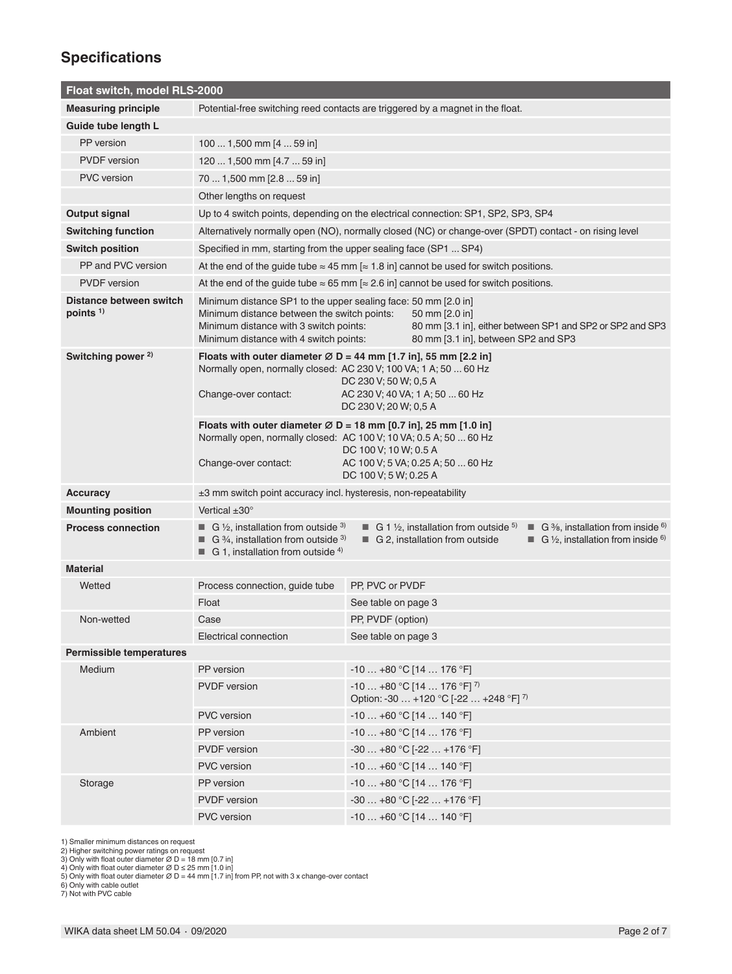### **Specifications**

| Float switch, model RLS-2000          |                                                                                                                                                                                                                                                                                                                                                                                                                                                                                                                                 |                                                                                                                                                                                                                                                                               |                                                                                             |  |  |  |
|---------------------------------------|---------------------------------------------------------------------------------------------------------------------------------------------------------------------------------------------------------------------------------------------------------------------------------------------------------------------------------------------------------------------------------------------------------------------------------------------------------------------------------------------------------------------------------|-------------------------------------------------------------------------------------------------------------------------------------------------------------------------------------------------------------------------------------------------------------------------------|---------------------------------------------------------------------------------------------|--|--|--|
| <b>Measuring principle</b>            | Potential-free switching reed contacts are triggered by a magnet in the float.                                                                                                                                                                                                                                                                                                                                                                                                                                                  |                                                                                                                                                                                                                                                                               |                                                                                             |  |  |  |
| Guide tube length L                   |                                                                                                                                                                                                                                                                                                                                                                                                                                                                                                                                 |                                                                                                                                                                                                                                                                               |                                                                                             |  |  |  |
| PP version                            | 100  1,500 mm [4  59 in]                                                                                                                                                                                                                                                                                                                                                                                                                                                                                                        |                                                                                                                                                                                                                                                                               |                                                                                             |  |  |  |
| <b>PVDF</b> version                   | 120  1,500 mm [4.7  59 in]                                                                                                                                                                                                                                                                                                                                                                                                                                                                                                      |                                                                                                                                                                                                                                                                               |                                                                                             |  |  |  |
| <b>PVC</b> version                    | 70  1,500 mm [2.8  59 in]                                                                                                                                                                                                                                                                                                                                                                                                                                                                                                       |                                                                                                                                                                                                                                                                               |                                                                                             |  |  |  |
|                                       | Other lengths on request                                                                                                                                                                                                                                                                                                                                                                                                                                                                                                        |                                                                                                                                                                                                                                                                               |                                                                                             |  |  |  |
| <b>Output signal</b>                  | Up to 4 switch points, depending on the electrical connection: SP1, SP2, SP3, SP4                                                                                                                                                                                                                                                                                                                                                                                                                                               |                                                                                                                                                                                                                                                                               |                                                                                             |  |  |  |
| <b>Switching function</b>             | Alternatively normally open (NO), normally closed (NC) or change-over (SPDT) contact - on rising level                                                                                                                                                                                                                                                                                                                                                                                                                          |                                                                                                                                                                                                                                                                               |                                                                                             |  |  |  |
| <b>Switch position</b>                | Specified in mm, starting from the upper sealing face (SP1  SP4)                                                                                                                                                                                                                                                                                                                                                                                                                                                                |                                                                                                                                                                                                                                                                               |                                                                                             |  |  |  |
| PP and PVC version                    | At the end of the guide tube $\approx 45$ mm $\approx 1.8$ in] cannot be used for switch positions.                                                                                                                                                                                                                                                                                                                                                                                                                             |                                                                                                                                                                                                                                                                               |                                                                                             |  |  |  |
| <b>PVDF</b> version                   | At the end of the guide tube $\approx 65$ mm $\approx 2.6$ in] cannot be used for switch positions.                                                                                                                                                                                                                                                                                                                                                                                                                             |                                                                                                                                                                                                                                                                               |                                                                                             |  |  |  |
| Distance between switch<br>points $1$ | Minimum distance with 4 switch points:                                                                                                                                                                                                                                                                                                                                                                                                                                                                                          | Minimum distance SP1 to the upper sealing face: 50 mm [2.0 in]<br>Minimum distance between the switch points:<br>50 mm [2.0 in]<br>Minimum distance with 3 switch points:<br>80 mm [3.1 in], either between SP1 and SP2 or SP2 and SP3<br>80 mm [3.1 in], between SP2 and SP3 |                                                                                             |  |  |  |
| Switching power <sup>2)</sup>         | Floats with outer diameter $\varnothing$ D = 44 mm [1.7 in], 55 mm [2.2 in]<br>Normally open, normally closed: AC 230 V; 100 VA; 1 A; 50  60 Hz<br>DC 230 V; 50 W; 0,5 A<br>AC 230 V; 40 VA; 1 A; 50  60 Hz<br>Change-over contact:<br>DC 230 V; 20 W; 0,5 A<br>Floats with outer diameter $\varnothing$ D = 18 mm [0.7 in], 25 mm [1.0 in]<br>Normally open, normally closed: AC 100 V; 10 VA; 0.5 A; 50  60 Hz<br>DC 100 V; 10 W; 0.5 A<br>AC 100 V; 5 VA; 0.25 A; 50  60 Hz<br>Change-over contact:<br>DC 100 V; 5 W; 0.25 A |                                                                                                                                                                                                                                                                               |                                                                                             |  |  |  |
|                                       |                                                                                                                                                                                                                                                                                                                                                                                                                                                                                                                                 |                                                                                                                                                                                                                                                                               |                                                                                             |  |  |  |
| <b>Accuracy</b>                       | ±3 mm switch point accuracy incl. hysteresis, non-repeatability                                                                                                                                                                                                                                                                                                                                                                                                                                                                 |                                                                                                                                                                                                                                                                               |                                                                                             |  |  |  |
| <b>Mounting position</b>              | Vertical $\pm 30^\circ$                                                                                                                                                                                                                                                                                                                                                                                                                                                                                                         |                                                                                                                                                                                                                                                                               |                                                                                             |  |  |  |
| <b>Process connection</b>             | <b>G</b> 1/ <sub>2</sub> , installation from outside $3$<br><b>G</b> 1 $\frac{1}{2}$ , installation from outside <sup>5)</sup><br>G $\frac{3}{8}$ , installation from inside $\frac{6}{8}$<br>٠<br><b>G</b> $\frac{3}{4}$ , installation from outside $\frac{3}{4}$<br>G 2, installation from outside<br>G $\frac{1}{2}$ , installation from inside $\frac{6}{2}$<br>■<br><b>G</b> 1, installation from outside <sup>4)</sup>                                                                                                   |                                                                                                                                                                                                                                                                               |                                                                                             |  |  |  |
| <b>Material</b>                       |                                                                                                                                                                                                                                                                                                                                                                                                                                                                                                                                 |                                                                                                                                                                                                                                                                               |                                                                                             |  |  |  |
| Wetted                                | Process connection, guide tube                                                                                                                                                                                                                                                                                                                                                                                                                                                                                                  | PP, PVC or PVDF                                                                                                                                                                                                                                                               |                                                                                             |  |  |  |
|                                       | Float                                                                                                                                                                                                                                                                                                                                                                                                                                                                                                                           | See table on page 3                                                                                                                                                                                                                                                           |                                                                                             |  |  |  |
| Non-wetted                            | Case                                                                                                                                                                                                                                                                                                                                                                                                                                                                                                                            | PP, PVDF (option)                                                                                                                                                                                                                                                             |                                                                                             |  |  |  |
|                                       | Electrical connection                                                                                                                                                                                                                                                                                                                                                                                                                                                                                                           | See table on page 3                                                                                                                                                                                                                                                           |                                                                                             |  |  |  |
| <b>Permissible temperatures</b>       |                                                                                                                                                                                                                                                                                                                                                                                                                                                                                                                                 |                                                                                                                                                                                                                                                                               |                                                                                             |  |  |  |
| Medium                                | PP version                                                                                                                                                                                                                                                                                                                                                                                                                                                                                                                      |                                                                                                                                                                                                                                                                               | $-10+80$ °C [14  176 °F]                                                                    |  |  |  |
|                                       | <b>PVDF</b> version                                                                                                                                                                                                                                                                                                                                                                                                                                                                                                             |                                                                                                                                                                                                                                                                               | $-10+80 °C$ [14  176 °F] <sup>7)</sup><br>Option: -30  +120 °C [-22  +248 °F] <sup>7)</sup> |  |  |  |
|                                       | <b>PVC</b> version                                                                                                                                                                                                                                                                                                                                                                                                                                                                                                              |                                                                                                                                                                                                                                                                               | $-10+60$ °C [14  140 °F]                                                                    |  |  |  |
| Ambient                               | PP version                                                                                                                                                                                                                                                                                                                                                                                                                                                                                                                      |                                                                                                                                                                                                                                                                               | $-10+80$ °C [14  176 °F]                                                                    |  |  |  |
|                                       | <b>PVDF</b> version                                                                                                                                                                                                                                                                                                                                                                                                                                                                                                             |                                                                                                                                                                                                                                                                               | $-30+80$ °C [ $-22+176$ °F]                                                                 |  |  |  |
|                                       | <b>PVC</b> version                                                                                                                                                                                                                                                                                                                                                                                                                                                                                                              |                                                                                                                                                                                                                                                                               | $-10+60$ °C [14  140 °F]                                                                    |  |  |  |
| Storage                               | PP version                                                                                                                                                                                                                                                                                                                                                                                                                                                                                                                      |                                                                                                                                                                                                                                                                               | $-10+80 °C$ [14  176 °F]                                                                    |  |  |  |
|                                       | <b>PVDF</b> version                                                                                                                                                                                                                                                                                                                                                                                                                                                                                                             |                                                                                                                                                                                                                                                                               | $-30+80$ °C [ $-22+176$ °F]                                                                 |  |  |  |
|                                       | <b>PVC</b> version                                                                                                                                                                                                                                                                                                                                                                                                                                                                                                              |                                                                                                                                                                                                                                                                               | $-10+60 °C$ [14  140 °F]                                                                    |  |  |  |

1) Smaller minimum distances on request<br>2) Higher switching power ratings on request<br>3) Only with float outer diameter Ø D = 18 mm [0.7 in]<br>4) Only with float outer diameter Ø D ≤ 25 mm [1.0 in]<br>5) Only with float outer d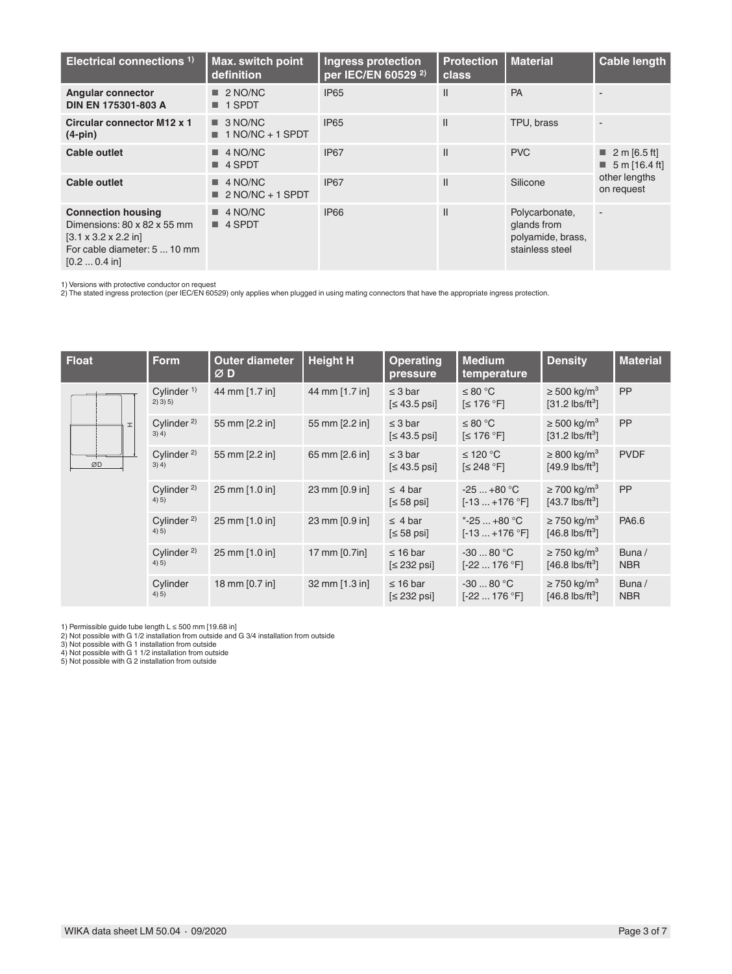| Electrical connections <sup>1)</sup>                                                                                                                         | <b>Max. switch point</b><br>definition              | <b>Ingress protection</b><br>per IEC/EN 60529 <sup>2)</sup> | <b>Protection</b><br>class | <b>Material</b>                                                       | <b>Cable length</b>                                         |  |
|--------------------------------------------------------------------------------------------------------------------------------------------------------------|-----------------------------------------------------|-------------------------------------------------------------|----------------------------|-----------------------------------------------------------------------|-------------------------------------------------------------|--|
| <b>Angular connector</b><br>DIN EN 175301-803 A                                                                                                              | $\blacksquare$ 2 NO/NC<br>1 SPDT                    | <b>IP65</b>                                                 | Ш                          | PA                                                                    |                                                             |  |
| Circular connector M12 x 1<br>$(4-pin)$                                                                                                                      | $\Box$ 3 NO/NC<br>$\blacksquare$ 1 NO/NC + 1 SPDT   | <b>IP65</b>                                                 | $\mathsf{II}$              | TPU, brass                                                            |                                                             |  |
| Cable outlet                                                                                                                                                 | $\blacksquare$ 4 NO/NC<br>$\blacksquare$ 4 SPDT     | IP <sub>67</sub>                                            | Ш                          | <b>PVC</b>                                                            | $\blacksquare$ 2 m [6.5 ft]<br>$\blacksquare$ 5 m [16.4 ft] |  |
| Cable outlet                                                                                                                                                 | $\blacksquare$ 4 NO/NC<br>$\equiv 2$ NO/NC + 1 SPDT | IP67                                                        | Ш                          | Silicone                                                              | other lengths<br>on request                                 |  |
| <b>Connection housing</b><br>Dimensions: 80 x 82 x 55 mm<br>$[3.1 \times 3.2 \times 2.2]$ in<br>For cable diameter: 5  10 mm<br>$[0.2 \dots 0.4 \text{ in}]$ | $\blacksquare$ 4 NO/NC<br>■ 4 SPDT                  | <b>IP66</b>                                                 | $\mathsf{II}$              | Polycarbonate,<br>glands from<br>polyamide, brass,<br>stainless steel | $\overline{\phantom{a}}$                                    |  |

1) Versions with protective conductor on request 2) The stated ingress protection (per IEC/EN 60529) only applies when plugged in using mating connectors that have the appropriate ingress protection.

| <b>Float</b> | <b>Form</b>                       | <b>Outer diameter</b><br>ØD | <b>Height H</b> | <b>Operating</b><br>pressure     | <b>Medium</b><br>temperature       | <b>Density</b>                                                | <b>Material</b>     |
|--------------|-----------------------------------|-----------------------------|-----------------|----------------------------------|------------------------------------|---------------------------------------------------------------|---------------------|
|              | Cylinder $1$ )<br>$2)$ 3) 5)      | 44 mm [1.7 in]              | 44 mm [1.7 in]  | $\leq$ 3 bar<br>$[≤ 43.5$ psi]   | ≤ 80 °C<br>$\leq 176$ °F]          | $\geq$ 500 kg/m <sup>3</sup><br>$[31.2 \text{ lbs/ft}^3]$     | <b>PP</b>           |
| <b>I</b>     | Cylinder <sup>2)</sup><br>$3)$ 4) | 55 mm [2.2 in]              | 55 mm [2.2 in]  | $\leq$ 3 bar<br>$\leq 43.5$ psi] | ≤ 80 °C<br>$\leq 176$ °F]          | $\geq$ 500 kg/m <sup>3</sup><br>$[31.2$ lbs/ft <sup>3</sup> ] | <b>PP</b>           |
| ØD           | Cylinder <sup>2)</sup><br>3) 4)   | 55 mm [2.2 in]              | 65 mm [2.6 in]  | $\leq$ 3 bar<br>$\leq 43.5$ psi  | ≤ 120 °C<br>$\leq$ 248 °F]         | $\geq$ 800 kg/m <sup>3</sup><br>$[49.9$ lbs/ft <sup>3</sup> ] | <b>PVDF</b>         |
|              | Cylinder <sup>2)</sup><br>4(5)    | 25 mm [1.0 in]              | 23 mm [0.9 in]  | $\leq$ 4 bar<br>$[≤ 58$ psi]     | $-25+80 °C$<br>$[-13+176 °F]$      | $\geq$ 700 kg/m <sup>3</sup><br>$[43.7$ lbs/ft <sup>3</sup> ] | <b>PP</b>           |
|              | Cylinder <sup>2)</sup><br>4(5)    | 25 mm [1.0 in]              | 23 mm [0.9 in]  | $\leq$ 4 bar<br>$\leq 58$ psi]   | "-25 $+80$ °C<br>$[-13+176 °F]$    | $\geq$ 750 kg/m <sup>3</sup><br>$[46.8 \text{ lbs/ft}^3]$     | PA6.6               |
|              | Cylinder <sup>2)</sup><br>4(5)    | 25 mm [1.0 in]              | 17 mm [0.7in]   | $\leq 16$ bar<br>$\leq$ 232 psi] | $-3080 °C$<br>$[-22 \dots 176 °F]$ | $\geq$ 750 kg/m <sup>3</sup><br>$[46.8 \text{ lbs/ft}^3]$     | Buna/<br><b>NBR</b> |
|              | Cylinder<br>4) 5)                 | 18 mm [0.7 in]              | 32 mm [1.3 in]  | $\leq 16$ bar<br>$\leq$ 232 psi] | $-3080 °C$<br>$[-22 \dots 176 °F]$ | $\geq$ 750 kg/m <sup>3</sup><br>$[46.8$ lbs/ft <sup>3</sup> ] | Buna/<br><b>NBR</b> |

1) Permissible guide tube length L ≤ 500 mm [19.68 in]<br>2) Not possible with G 1/2 installation from outside and G 3/4 installation from outside<br>3) Not possible with G 1 installation from outside<br>4) Not possible with G 1 1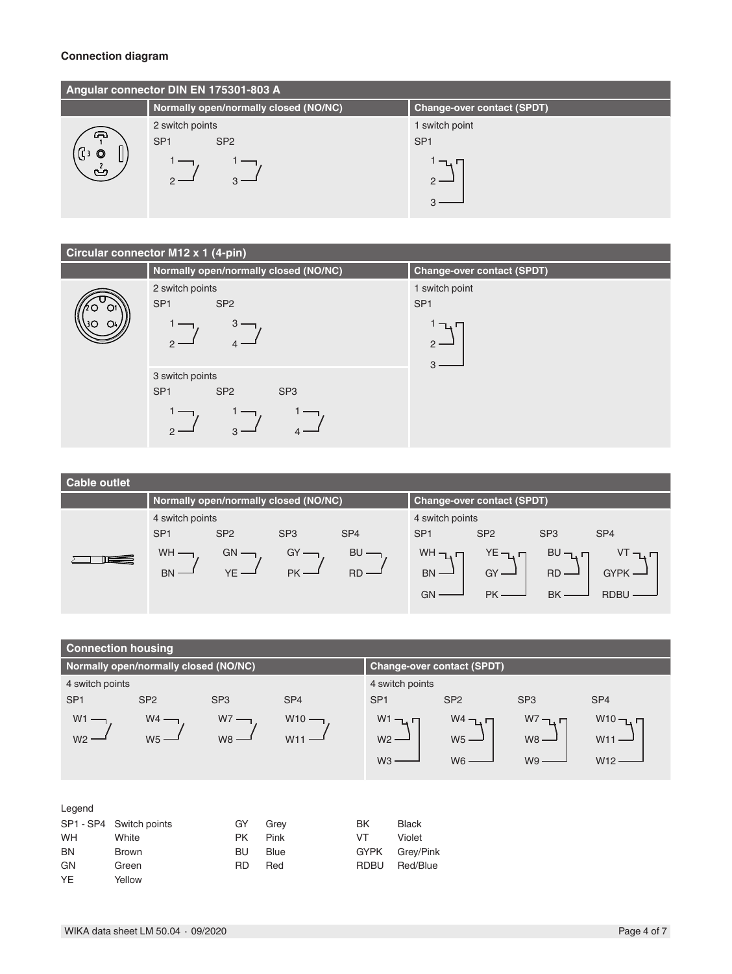#### **Connection diagram**

| Angular connector DIN EN 175301-803 A |                                       |                                   |  |  |  |  |
|---------------------------------------|---------------------------------------|-----------------------------------|--|--|--|--|
|                                       | Normally open/normally closed (NO/NC) | <b>Change-over contact (SPDT)</b> |  |  |  |  |
|                                       | 2 switch points                       | 1 switch point                    |  |  |  |  |
| ക                                     | SP <sub>1</sub><br>SP <sub>2</sub>    | SP <sub>1</sub>                   |  |  |  |  |
| $\circ$<br>∕ ئا),<br>ٹ                |                                       | ℸ                                 |  |  |  |  |
|                                       |                                       |                                   |  |  |  |  |

### **Circular connector M12 x 1 (4-pin)**

| Normally open/normally closed (NO/NC)                 | <b>Change-over contact (SPDT)</b> |
|-------------------------------------------------------|-----------------------------------|
| 2 switch points                                       | 1 switch point                    |
| SP <sub>1</sub><br>SP <sub>2</sub>                    | SP <sub>1</sub>                   |
| $3 \cdot$                                             | ו בדי                             |
|                                                       | $2 -$                             |
|                                                       | З                                 |
| 3 switch points                                       |                                   |
| SP <sub>1</sub><br>SP <sub>2</sub><br>SP <sub>3</sub> |                                   |
|                                                       |                                   |
| 3                                                     |                                   |
|                                                       |                                   |

| <b>Cable outlet</b> |                                       |                 |                 |                 |                                    |                                   |                                  |                            |
|---------------------|---------------------------------------|-----------------|-----------------|-----------------|------------------------------------|-----------------------------------|----------------------------------|----------------------------|
|                     | Normally open/normally closed (NO/NC) |                 |                 |                 |                                    | <b>Change-over contact (SPDT)</b> |                                  |                            |
|                     | 4 switch points                       |                 |                 |                 | 4 switch points                    |                                   |                                  |                            |
|                     | SP <sub>1</sub>                       | SP <sub>2</sub> | SP <sub>3</sub> | SP <sub>4</sub> | SP <sub>1</sub>                    | SP <sub>2</sub>                   | SP <sub>3</sub>                  | SP <sub>4</sub>            |
|                     | WH ·<br><b>BN</b>                     | GN              | GY<br>PK ·      | BU<br>RD        | $WH - L$<br><b>BN</b><br><b>GN</b> | $YE$ $\neg$<br>$GY$ —<br>PK       | $BU -$<br><b>RD</b><br><b>BK</b> | <b>GYPK</b><br><b>RDBL</b> |
|                     |                                       |                 |                 |                 |                                    |                                   |                                  |                            |

|                 | <b>Connection housing</b>             |                 |                 |                 |                 |                                   |                 |                 |
|-----------------|---------------------------------------|-----------------|-----------------|-----------------|-----------------|-----------------------------------|-----------------|-----------------|
|                 | Normally open/normally closed (NO/NC) |                 |                 |                 |                 | <b>Change-over contact (SPDT)</b> |                 |                 |
| 4 switch points |                                       |                 |                 |                 | 4 switch points |                                   |                 |                 |
| SP <sub>1</sub> | SP <sub>2</sub>                       | SP <sub>3</sub> | SP <sub>4</sub> | SP <sub>1</sub> |                 | SP <sub>2</sub>                   | SP <sub>3</sub> | SP <sub>4</sub> |
| W <sub>1</sub>  | $W4 -$                                | $W7 -$          | $W10 -$         |                 | $W1 - T$        | $W4 - \Box$                       | $W^7 - D$       | $W10 - 1$       |
| W <sub>2</sub>  | W5                                    | $W8 -$          | W11             | W <sub>2</sub>  |                 | W <sub>5</sub>                    | $W8 -$          | W11             |
|                 |                                       |                 |                 | W <sub>3</sub>  |                 |                                   |                 |                 |
|                 |                                       |                 |                 |                 |                 | W <sub>6</sub>                    | W <sub>9</sub>  | W12             |
|                 |                                       |                 |                 |                 |                 |                                   |                 |                 |
| Legend          |                                       |                 |                 |                 |                 |                                   |                 |                 |
| SP1 - SP4       | Switch points                         | GY              | Grey            | BK              | <b>Black</b>    |                                   |                 |                 |
| WH              | White                                 | <b>PK</b>       | Pink            | VT              | Violet          |                                   |                 |                 |
| <b>BN</b>       | <b>Brown</b>                          | <b>BU</b>       | <b>Blue</b>     | <b>GYPK</b>     | Grey/Pink       |                                   |                 |                 |
| GN              | Green                                 | RD              | Red             | <b>RDBU</b>     | Red/Blue        |                                   |                 |                 |

YE Yellow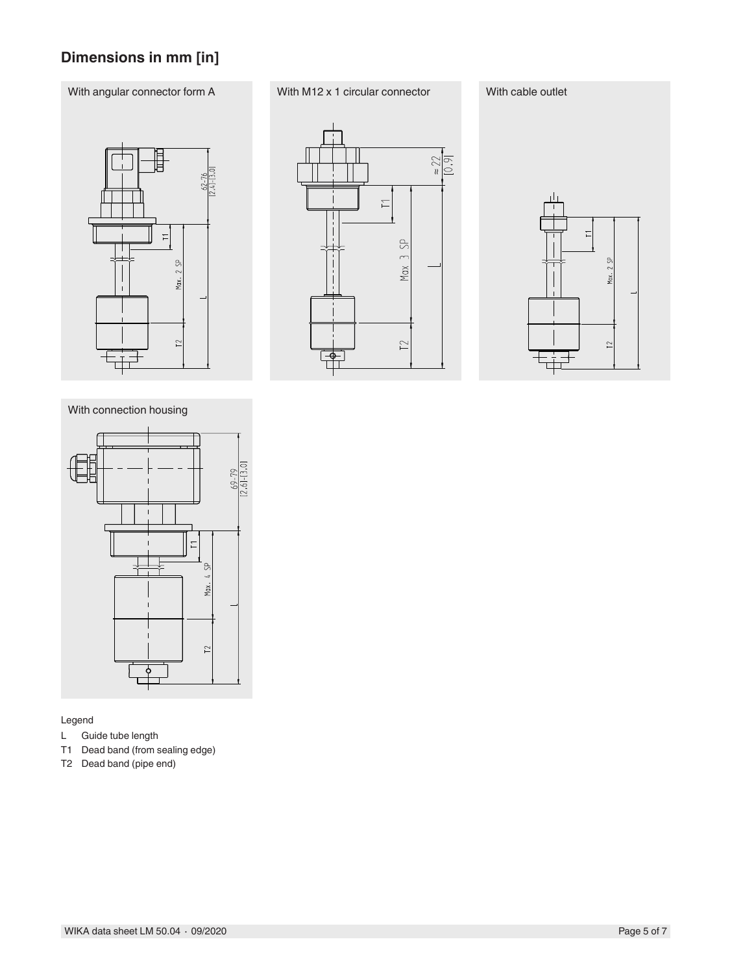## **Dimensions in mm [in]**

### With angular connector form A With M12 x 1 circular connector With cable outlet



With connection housing



#### Legend

- L Guide tube length
- T1 Dead band (from sealing edge)
- T2 Dead band (pipe end)



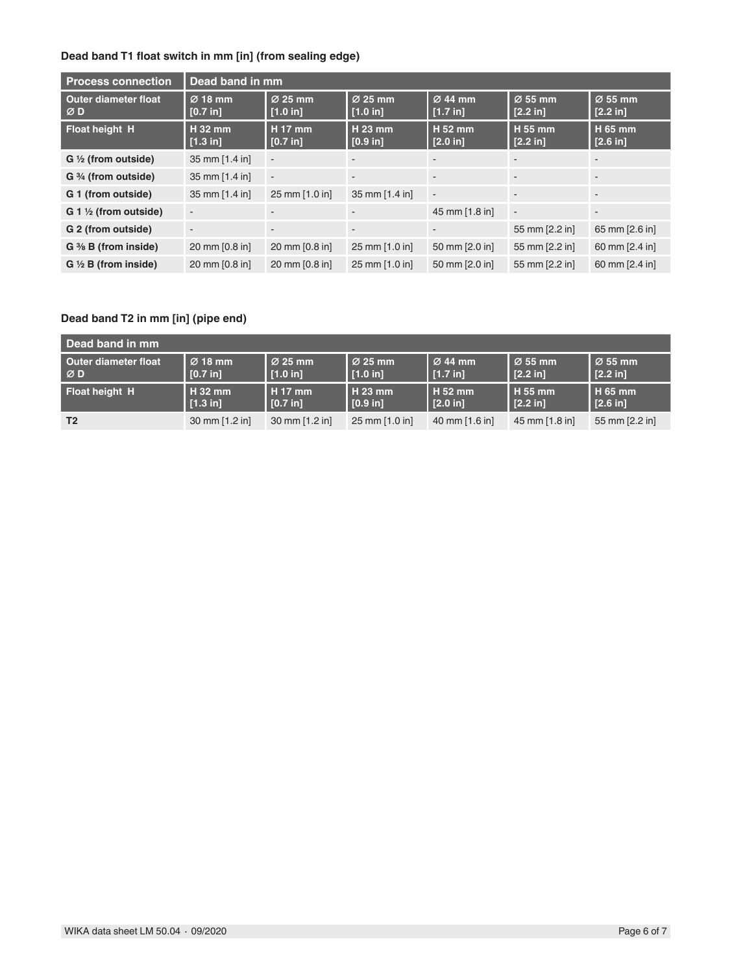### **Dead band T1 float switch in mm [in] (from sealing edge)**

| <b>Process connection</b>              | Dead band in mm          |                                 |                       |                       |                       |                       |
|----------------------------------------|--------------------------|---------------------------------|-----------------------|-----------------------|-----------------------|-----------------------|
| <b>Outer diameter float</b><br>ØD      | $Ø$ 18 mm<br>[0.7 in]    | $\varnothing$ 25 mm<br>[1.0 in] | $Ø$ 25 mm<br>[1.0 in] | $Ø$ 44 mm<br>[1.7 in] | $Ø$ 55 mm<br>[2.2 in] | $Ø$ 55 mm<br>[2.2 in] |
| <b>Float height H</b>                  | $H_32$ mm<br>[1.3 in]    | <b>H</b> 17 mm<br>[0.7 in]      | H 23 mm<br>[0.9 in]   | $H52$ mm<br>[2.0 in]  | H 55 mm<br>[2.2 in]   | H 65 mm<br>[2.6 in]   |
| $G \frac{1}{2}$ (from outside)         | 35 mm [1.4 in]           |                                 |                       |                       |                       |                       |
| G 3/4 (from outside)                   | 35 mm [1.4 in]           | $\blacksquare$                  | ۰.                    |                       |                       |                       |
| G 1 (from outside)                     | 35 mm [1.4 in]           | 25 mm [1.0 in]                  | 35 mm [1.4 in]        |                       |                       |                       |
| $G_1 \nrightthreetimes$ (from outside) |                          |                                 |                       | 45 mm [1.8 in]        | $\blacksquare$        |                       |
| G 2 (from outside)                     | $\overline{\phantom{a}}$ |                                 |                       |                       | 55 mm [2.2 in]        | 65 mm [2.6 in]        |
| $G \frac{3}{8} B$ (from inside)        | 20 mm [0.8 in]           | 20 mm [0.8 in]                  | 25 mm [1.0 in]        | 50 mm [2.0 in]        | 55 mm [2.2 in]        | 60 mm [2.4 in]        |
| $G \nleq B$ (from inside)              | 20 mm [0.8 in]           | 20 mm [0.8 in]                  | 25 mm [1.0 in]        | 50 mm [2.0 in]        | 55 mm [2.2 in]        | 60 mm [2.4 in]        |

### **Dead band T2 in mm [in] (pipe end)**

| Dead band in mm      |                     |                     |                |                     |                     |                                |
|----------------------|---------------------|---------------------|----------------|---------------------|---------------------|--------------------------------|
| Outer diameter float | $\varnothing$ 18 mm | $\varnothing$ 25 mm | l ∅ 25 mm      | $\varnothing$ 44 mm | $\varnothing$ 55 mm | $\overline{\varnothing}$ 55 mm |
| ∣ØD                  | [0.7 in]            | $\vert$ [1.0 in]    | [1.0 in]       | [1.7 in]            | [2.2 in]            | [2.2 in]                       |
| Float height H       | $H32$ mm            | H 17 mm             | l H 23 mm      | l H 52 mm           | l H 55 mm           | <b>H</b> 65 mm                 |
|                      | $\vert$ [1.3 in]    | [0.7 in]            | [0.9 in]       | $\vert$ [2.0 in]    | [2.2 in]            | [2.6 in]                       |
| T <sub>2</sub>       | 30 mm [1.2 in]      | 30 mm [1.2 in]      | 25 mm [1.0 in] | 40 mm [1.6 in]      | 45 mm [1.8 in]      | 55 mm [2.2 in]                 |